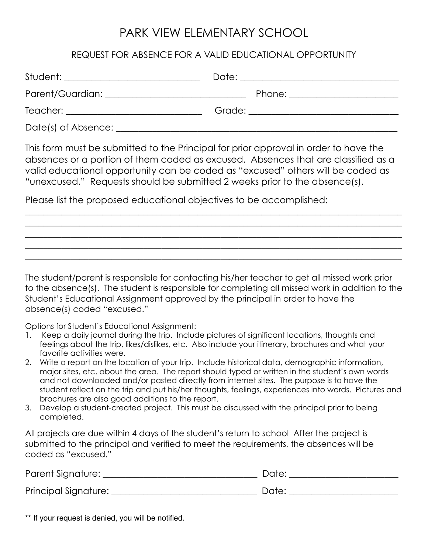## PARK VIEW ELEMENTARY SCHOOL

## REQUEST FOR ABSENCE FOR A VALID EDUCATIONAL OPPORTUNITY

|                     | Date: ____________________________  |
|---------------------|-------------------------------------|
|                     | Phone: ______________________       |
|                     | Grade: ____________________________ |
| Date(s) of Absence: |                                     |

This form must be submitted to the Principal for prior approval in order to have the absences or a portion of them coded as excused. Absences that are classified as a valid educational opportunity can be coded as "excused" others will be coded as "unexcused." Requests should be submitted 2 weeks prior to the absence(s).

\_\_\_\_\_\_\_\_\_\_\_\_\_\_\_\_\_\_\_\_\_\_\_\_\_\_\_\_\_\_\_\_\_\_\_\_\_\_\_\_\_\_\_\_\_\_\_\_\_\_\_\_\_\_\_\_\_\_\_\_\_\_\_\_\_\_\_\_\_\_\_\_\_\_\_\_\_\_\_\_\_\_\_ \_\_\_\_\_\_\_\_\_\_\_\_\_\_\_\_\_\_\_\_\_\_\_\_\_\_\_\_\_\_\_\_\_\_\_\_\_\_\_\_\_\_\_\_\_\_\_\_\_\_\_\_\_\_\_\_\_\_\_\_\_\_\_\_\_\_\_\_\_\_\_\_\_\_\_\_\_\_\_\_\_\_\_ \_\_\_\_\_\_\_\_\_\_\_\_\_\_\_\_\_\_\_\_\_\_\_\_\_\_\_\_\_\_\_\_\_\_\_\_\_\_\_\_\_\_\_\_\_\_\_\_\_\_\_\_\_\_\_\_\_\_\_\_\_\_\_\_\_\_\_\_\_\_\_\_\_\_\_\_\_\_\_\_\_\_\_ \_\_\_\_\_\_\_\_\_\_\_\_\_\_\_\_\_\_\_\_\_\_\_\_\_\_\_\_\_\_\_\_\_\_\_\_\_\_\_\_\_\_\_\_\_\_\_\_\_\_\_\_\_\_\_\_\_\_\_\_\_\_\_\_\_\_\_\_\_\_\_\_\_\_\_\_\_\_\_\_\_\_\_ \_\_\_\_\_\_\_\_\_\_\_\_\_\_\_\_\_\_\_\_\_\_\_\_\_\_\_\_\_\_\_\_\_\_\_\_\_\_\_\_\_\_\_\_\_\_\_\_\_\_\_\_\_\_\_\_\_\_\_\_\_\_\_\_\_\_\_\_\_\_\_\_\_\_\_\_\_\_\_\_\_\_\_

Please list the proposed educational objectives to be accomplished:

The student/parent is responsible for contacting his/her teacher to get all missed work prior to the absence(s). The student is responsible for completing all missed work in addition to the Student's Educational Assignment approved by the principal in order to have the absence(s) coded "excused."

Options for Student's Educational Assignment:

- Keep a daily journal during the trip. Include pictures of significant locations, thoughts and feelings about the trip, likes/dislikes, etc. Also include your itinerary, brochures and what your favorite activities were.
- 2. Write a report on the location of your trip. Include historical data, demographic information, major sites, etc. about the area. The report should typed or written in the student's own words and not downloaded and/or pasted directly from internet sites. The purpose is to have the student reflect on the trip and put his/her thoughts, feelings, experiences into words. Pictures and brochures are also good additions to the report.
- 3. Develop a student-created project. This must be discussed with the principal prior to being completed.

All projects are due within 4 days of the student's return to school After the project is submitted to the principal and verified to meet the requirements, the absences will be coded as "excused."

| Parent Signature:    | Date: |
|----------------------|-------|
| Principal Signature: | Date: |

\*\* If your request is denied, you will be notified.